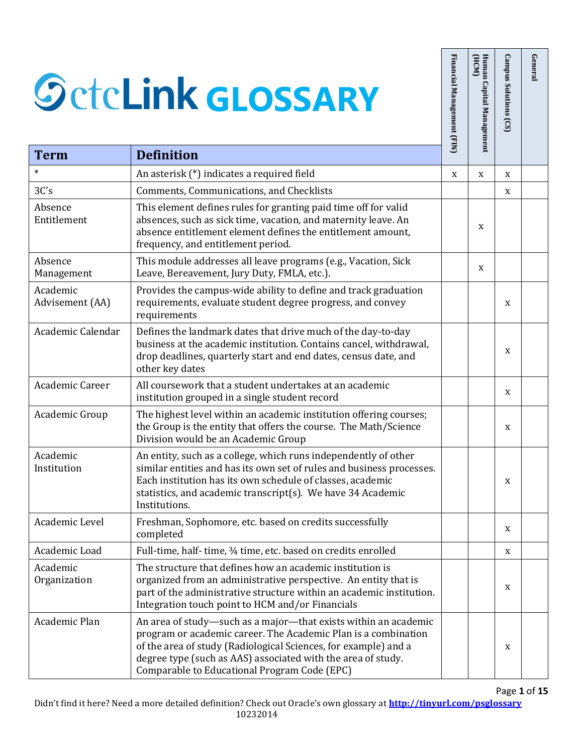| <b>Term</b>                    | <b>SctcLink GLOSSARY</b><br><b>Definition</b>                                                                                                                                                                                                                                                                        | Financial Management (FIN) | Human Capital Management<br>(HCM) | <b>Campus Solutions</b><br>(S) | General |
|--------------------------------|----------------------------------------------------------------------------------------------------------------------------------------------------------------------------------------------------------------------------------------------------------------------------------------------------------------------|----------------------------|-----------------------------------|--------------------------------|---------|
| $\ast$                         |                                                                                                                                                                                                                                                                                                                      |                            |                                   |                                |         |
|                                | An asterisk (*) indicates a required field                                                                                                                                                                                                                                                                           | X                          | X                                 | X                              |         |
| 3C's<br>Absence<br>Entitlement | Comments, Communications, and Checklists<br>This element defines rules for granting paid time off for valid<br>absences, such as sick time, vacation, and maternity leave. An<br>absence entitlement element defines the entitlement amount,<br>frequency, and entitlement period.                                   |                            | X                                 | X                              |         |
| Absence<br>Management          | This module addresses all leave programs (e.g., Vacation, Sick<br>Leave, Bereavement, Jury Duty, FMLA, etc.).                                                                                                                                                                                                        |                            | X                                 |                                |         |
| Academic<br>Advisement (AA)    | Provides the campus-wide ability to define and track graduation<br>requirements, evaluate student degree progress, and convey<br>requirements                                                                                                                                                                        |                            |                                   | X                              |         |
| Academic Calendar              | Defines the landmark dates that drive much of the day-to-day<br>business at the academic institution. Contains cancel, withdrawal,<br>drop deadlines, quarterly start and end dates, census date, and<br>other key dates                                                                                             |                            |                                   | X                              |         |
| Academic Career                | All coursework that a student undertakes at an academic<br>institution grouped in a single student record                                                                                                                                                                                                            |                            |                                   | X                              |         |
| Academic Group                 | The highest level within an academic institution offering courses;<br>the Group is the entity that offers the course. The Math/Science<br>Division would be an Academic Group                                                                                                                                        |                            |                                   | X                              |         |
| Academic<br>Institution        | An entity, such as a college, which runs independently of other<br>similar entities and has its own set of rules and business processes.<br>Each institution has its own schedule of classes, academic<br>statistics, and academic transcript(s). We have 34 Academic<br>Institutions.                               |                            |                                   | X                              |         |
| Academic Level                 | Freshman, Sophomore, etc. based on credits successfully<br>completed                                                                                                                                                                                                                                                 |                            |                                   | X                              |         |
| Academic Load                  | Full-time, half-time, 3/4 time, etc. based on credits enrolled                                                                                                                                                                                                                                                       |                            |                                   | X                              |         |
| Academic<br>Organization       | The structure that defines how an academic institution is<br>organized from an administrative perspective. An entity that is<br>part of the administrative structure within an academic institution.<br>Integration touch point to HCM and/or Financials                                                             |                            |                                   | X                              |         |
| Academic Plan                  | An area of study-such as a major-that exists within an academic<br>program or academic career. The Academic Plan is a combination<br>of the area of study (Radiological Sciences, for example) and a<br>degree type (such as AAS) associated with the area of study.<br>Comparable to Educational Program Code (EPC) |                            |                                   | X                              |         |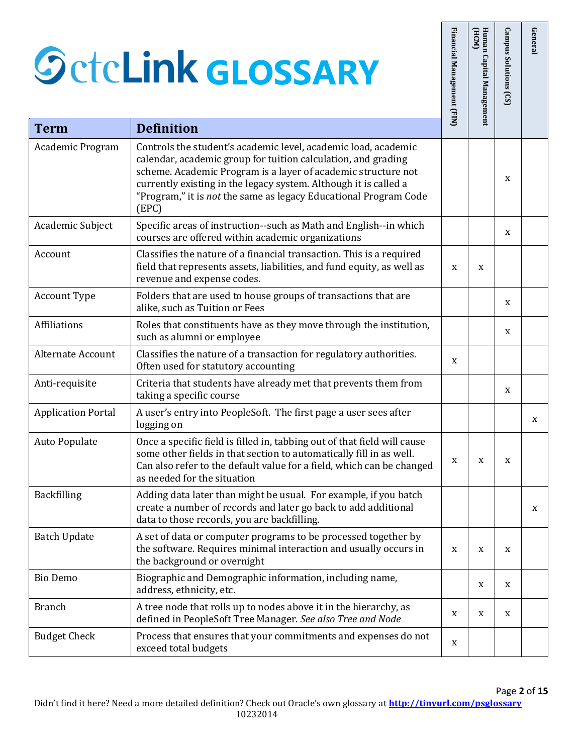## $\mathcal{G}c$ **GLOSSARY**

|                           | <b>SctcLink GLOSSARY</b>                                                                                                                                                                                                                                                                                                                          | Financial<br>Management (FIN) | Human Capital Management<br>(HCM) | <b>Campus Solutions</b><br>(S) | General |
|---------------------------|---------------------------------------------------------------------------------------------------------------------------------------------------------------------------------------------------------------------------------------------------------------------------------------------------------------------------------------------------|-------------------------------|-----------------------------------|--------------------------------|---------|
| <b>Term</b>               | <b>Definition</b>                                                                                                                                                                                                                                                                                                                                 |                               |                                   |                                |         |
| Academic Program          | Controls the student's academic level, academic load, academic<br>calendar, academic group for tuition calculation, and grading<br>scheme. Academic Program is a layer of academic structure not<br>currently existing in the legacy system. Although it is called a<br>"Program," it is not the same as legacy Educational Program Code<br>(EPC) |                               |                                   | X                              |         |
| Academic Subject          | Specific areas of instruction--such as Math and English--in which<br>courses are offered within academic organizations                                                                                                                                                                                                                            |                               |                                   | X                              |         |
| Account                   | Classifies the nature of a financial transaction. This is a required<br>field that represents assets, liabilities, and fund equity, as well as<br>revenue and expense codes.                                                                                                                                                                      | X                             | X                                 |                                |         |
| <b>Account Type</b>       | Folders that are used to house groups of transactions that are<br>alike, such as Tuition or Fees                                                                                                                                                                                                                                                  |                               |                                   | X                              |         |
| Affiliations              | Roles that constituents have as they move through the institution,<br>such as alumni or employee                                                                                                                                                                                                                                                  |                               |                                   | X                              |         |
| <b>Alternate Account</b>  | Classifies the nature of a transaction for regulatory authorities.<br>Often used for statutory accounting                                                                                                                                                                                                                                         | X                             |                                   |                                |         |
| Anti-requisite            | Criteria that students have already met that prevents them from<br>taking a specific course                                                                                                                                                                                                                                                       |                               |                                   | X                              |         |
| <b>Application Portal</b> | A user's entry into PeopleSoft. The first page a user sees after<br>logging on                                                                                                                                                                                                                                                                    |                               |                                   |                                | X       |
| Auto Populate             | Once a specific field is filled in, tabbing out of that field will cause<br>some other fields in that section to automatically fill in as well.<br>Can also refer to the default value for a field, which can be changed<br>as needed for the situation                                                                                           | X                             | X                                 | X                              |         |
| Backfilling               | Adding data later than might be usual. For example, if you batch<br>create a number of records and later go back to add additional<br>data to those records, you are backfilling.                                                                                                                                                                 |                               |                                   |                                | X       |
| <b>Batch Update</b>       | A set of data or computer programs to be processed together by<br>the software. Requires minimal interaction and usually occurs in<br>the background or overnight                                                                                                                                                                                 | X                             | X                                 | X                              |         |
| <b>Bio Demo</b>           | Biographic and Demographic information, including name,<br>address, ethnicity, etc.                                                                                                                                                                                                                                                               |                               | X                                 | X                              |         |
| <b>Branch</b>             | A tree node that rolls up to nodes above it in the hierarchy, as<br>defined in PeopleSoft Tree Manager. See also Tree and Node                                                                                                                                                                                                                    | X                             | X                                 | X                              |         |
| <b>Budget Check</b>       | Process that ensures that your commitments and expenses do not<br>exceed total budgets                                                                                                                                                                                                                                                            | X                             |                                   |                                |         |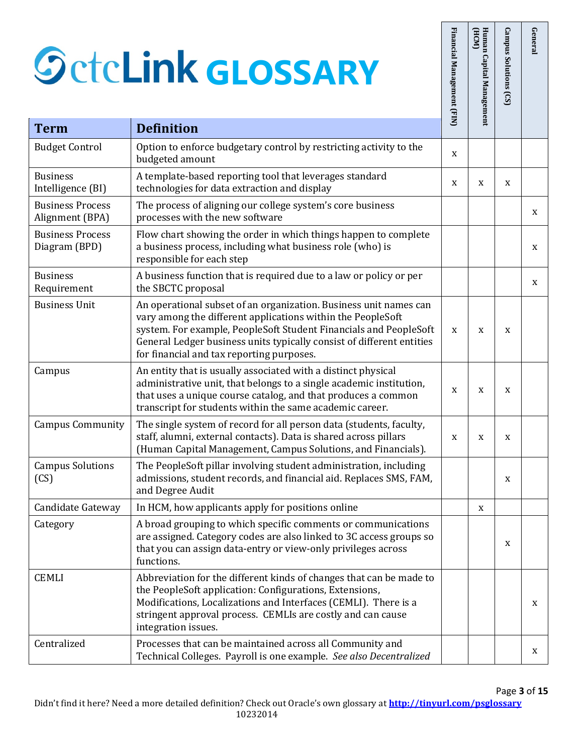|                                            | <b>SctcLink GLOSSARY</b>                                                                                                                                                                                                                                                                                                    | Financial Management (FIN) | Human Capital Management<br>(HCM) | Campus Solutions (CS) | General |
|--------------------------------------------|-----------------------------------------------------------------------------------------------------------------------------------------------------------------------------------------------------------------------------------------------------------------------------------------------------------------------------|----------------------------|-----------------------------------|-----------------------|---------|
| <b>Term</b>                                | <b>Definition</b>                                                                                                                                                                                                                                                                                                           |                            |                                   |                       |         |
| <b>Budget Control</b>                      | Option to enforce budgetary control by restricting activity to the<br>budgeted amount                                                                                                                                                                                                                                       | X                          |                                   |                       |         |
| <b>Business</b><br>Intelligence (BI)       | A template-based reporting tool that leverages standard<br>technologies for data extraction and display                                                                                                                                                                                                                     | X                          | X                                 | X                     |         |
| <b>Business Process</b><br>Alignment (BPA) | The process of aligning our college system's core business<br>processes with the new software                                                                                                                                                                                                                               |                            |                                   |                       | X       |
| <b>Business Process</b><br>Diagram (BPD)   | Flow chart showing the order in which things happen to complete<br>a business process, including what business role (who) is<br>responsible for each step                                                                                                                                                                   |                            |                                   |                       | X       |
| <b>Business</b><br>Requirement             | A business function that is required due to a law or policy or per<br>the SBCTC proposal                                                                                                                                                                                                                                    |                            |                                   |                       | X       |
| <b>Business Unit</b>                       | An operational subset of an organization. Business unit names can<br>vary among the different applications within the PeopleSoft<br>system. For example, PeopleSoft Student Financials and PeopleSoft<br>General Ledger business units typically consist of different entities<br>for financial and tax reporting purposes. | X                          | X                                 | X                     |         |
| Campus                                     | An entity that is usually associated with a distinct physical<br>administrative unit, that belongs to a single academic institution,<br>that uses a unique course catalog, and that produces a common<br>transcript for students within the same academic career.                                                           | X                          | X                                 | X                     |         |
| <b>Campus Community</b>                    | The single system of record for all person data (students, faculty,<br>staff, alumni, external contacts). Data is shared across pillars<br>(Human Capital Management, Campus Solutions, and Financials).                                                                                                                    | X                          | X                                 | X                     |         |
| <b>Campus Solutions</b><br>(CS)            | The PeopleSoft pillar involving student administration, including<br>admissions, student records, and financial aid. Replaces SMS, FAM,<br>and Degree Audit                                                                                                                                                                 |                            |                                   | X                     |         |
| Candidate Gateway                          | In HCM, how applicants apply for positions online                                                                                                                                                                                                                                                                           |                            | X                                 |                       |         |
| Category                                   | A broad grouping to which specific comments or communications<br>are assigned. Category codes are also linked to 3C access groups so<br>that you can assign data-entry or view-only privileges across<br>functions.                                                                                                         |                            |                                   | X                     |         |
| <b>CEMLI</b>                               | Abbreviation for the different kinds of changes that can be made to<br>the PeopleSoft application: Configurations, Extensions,<br>Modifications, Localizations and Interfaces (CEMLI). There is a<br>stringent approval process. CEMLIs are costly and can cause<br>integration issues.                                     |                            |                                   |                       | X       |
| Centralized                                | Processes that can be maintained across all Community and<br>Technical Colleges. Payroll is one example. See also Decentralized                                                                                                                                                                                             |                            |                                   |                       | X       |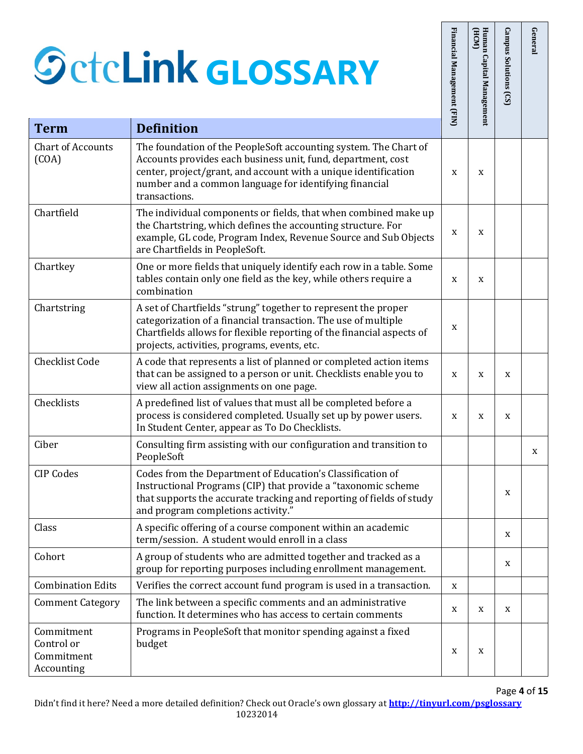Commitment Control or Commitment Accounting

|                                        | <b>SctcLink GLOSSARY</b>                                                                                                                                                                                                                                                       | Financial Management (FIN) | Human<br>(HCM)<br>Capital Management | <b>Campus Solutions</b><br>(S) | General |
|----------------------------------------|--------------------------------------------------------------------------------------------------------------------------------------------------------------------------------------------------------------------------------------------------------------------------------|----------------------------|--------------------------------------|--------------------------------|---------|
| <b>Term</b>                            | <b>Definition</b>                                                                                                                                                                                                                                                              |                            |                                      |                                |         |
| <b>Chart of Accounts</b><br>(COA)      | The foundation of the PeopleSoft accounting system. The Chart of<br>Accounts provides each business unit, fund, department, cost<br>center, project/grant, and account with a unique identification<br>number and a common language for identifying financial<br>transactions. | X                          | X                                    |                                |         |
| Chartfield                             | The individual components or fields, that when combined make up<br>the Chartstring, which defines the accounting structure. For<br>example, GL code, Program Index, Revenue Source and Sub Objects<br>are Chartfields in PeopleSoft.                                           | X                          | X                                    |                                |         |
| Chartkey                               | One or more fields that uniquely identify each row in a table. Some<br>tables contain only one field as the key, while others require a<br>combination                                                                                                                         | X                          | X                                    |                                |         |
| Chartstring                            | A set of Chartfields "strung" together to represent the proper<br>categorization of a financial transaction. The use of multiple<br>Chartfields allows for flexible reporting of the financial aspects of<br>projects, activities, programs, events, etc.                      | X                          |                                      |                                |         |
| <b>Checklist Code</b>                  | A code that represents a list of planned or completed action items<br>that can be assigned to a person or unit. Checklists enable you to<br>view all action assignments on one page.                                                                                           | X                          | X                                    | X                              |         |
| Checklists                             | A predefined list of values that must all be completed before a<br>process is considered completed. Usually set up by power users.<br>In Student Center, appear as To Do Checklists.                                                                                           | X                          | X                                    | X                              |         |
| Ciber                                  | Consulting firm assisting with our configuration and transition to<br>PeopleSoft                                                                                                                                                                                               |                            |                                      |                                | X       |
| <b>CIP Codes</b>                       | Codes from the Department of Education's Classification of<br>Instructional Programs (CIP) that provide a "taxonomic scheme<br>that supports the accurate tracking and reporting of fields of study<br>and program completions activity."                                      |                            |                                      | X                              |         |
| Class                                  | A specific offering of a course component within an academic<br>term/session. A student would enroll in a class                                                                                                                                                                |                            |                                      | X                              |         |
| Cohort                                 | A group of students who are admitted together and tracked as a<br>group for reporting purposes including enrollment management.                                                                                                                                                |                            |                                      | X                              |         |
| <b>Combination Edits</b>               | Verifies the correct account fund program is used in a transaction.                                                                                                                                                                                                            | X                          |                                      |                                |         |
| <b>Comment Category</b>                | The link between a specific comments and an administrative<br>function. It determines who has access to certain comments                                                                                                                                                       | X                          | X                                    | X                              |         |
| Commitment<br>Control or<br>Commitment | Programs in PeopleSoft that monitor spending against a fixed<br>budget                                                                                                                                                                                                         | X                          | X                                    |                                |         |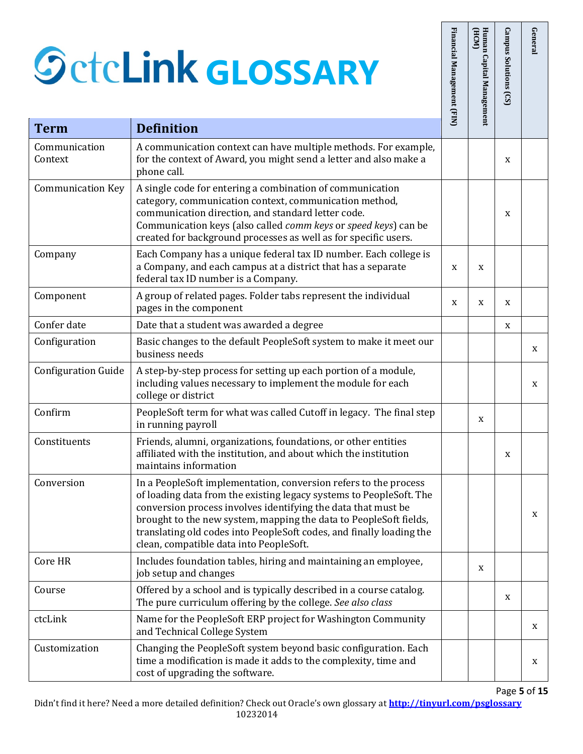Context

|                            | <b>SctcLink GLOSSARY</b>                                                                                                                                                                                                                                                                                                                                                                         | Financial Management (FIN) | Human Capital Management<br>HCM | Campus Solutions (CS) | General |
|----------------------------|--------------------------------------------------------------------------------------------------------------------------------------------------------------------------------------------------------------------------------------------------------------------------------------------------------------------------------------------------------------------------------------------------|----------------------------|---------------------------------|-----------------------|---------|
| <b>Term</b>                | <b>Definition</b>                                                                                                                                                                                                                                                                                                                                                                                |                            |                                 |                       |         |
| Communication<br>Context   | A communication context can have multiple methods. For example,<br>for the context of Award, you might send a letter and also make a<br>phone call.                                                                                                                                                                                                                                              |                            |                                 | X                     |         |
| <b>Communication Key</b>   | A single code for entering a combination of communication<br>category, communication context, communication method,<br>communication direction, and standard letter code.<br>Communication keys (also called comm keys or speed keys) can be<br>created for background processes as well as for specific users.                                                                                  |                            |                                 | X                     |         |
| Company                    | Each Company has a unique federal tax ID number. Each college is<br>a Company, and each campus at a district that has a separate<br>federal tax ID number is a Company.                                                                                                                                                                                                                          | X                          | X                               |                       |         |
| Component                  | A group of related pages. Folder tabs represent the individual<br>pages in the component                                                                                                                                                                                                                                                                                                         | X                          | X                               | X                     |         |
| Confer date                | Date that a student was awarded a degree                                                                                                                                                                                                                                                                                                                                                         |                            |                                 | X                     |         |
| Configuration              | Basic changes to the default PeopleSoft system to make it meet our<br>business needs                                                                                                                                                                                                                                                                                                             |                            |                                 |                       | X       |
| <b>Configuration Guide</b> | A step-by-step process for setting up each portion of a module,<br>including values necessary to implement the module for each<br>college or district                                                                                                                                                                                                                                            |                            |                                 |                       | X       |
| Confirm                    | PeopleSoft term for what was called Cutoff in legacy. The final step<br>in running payroll                                                                                                                                                                                                                                                                                                       |                            | X                               |                       |         |
| Constituents               | Friends, alumni, organizations, foundations, or other entities<br>affiliated with the institution, and about which the institution<br>maintains information                                                                                                                                                                                                                                      |                            |                                 | X                     |         |
| Conversion                 | In a PeopleSoft implementation, conversion refers to the process<br>of loading data from the existing legacy systems to PeopleSoft. The<br>conversion process involves identifying the data that must be<br>brought to the new system, mapping the data to PeopleSoft fields,<br>translating old codes into PeopleSoft codes, and finally loading the<br>clean, compatible data into PeopleSoft. |                            |                                 |                       | X       |
| Core HR                    | Includes foundation tables, hiring and maintaining an employee,<br>job setup and changes                                                                                                                                                                                                                                                                                                         |                            | X                               |                       |         |
| Course                     | Offered by a school and is typically described in a course catalog.<br>The pure curriculum offering by the college. See also class                                                                                                                                                                                                                                                               |                            |                                 | X                     |         |
| ctcLink                    | Name for the PeopleSoft ERP project for Washington Community<br>and Technical College System                                                                                                                                                                                                                                                                                                     |                            |                                 |                       | X       |
| Customization              | Changing the PeopleSoft system beyond basic configuration. Each<br>time a modification is made it adds to the complexity, time and<br>cost of upgrading the software.                                                                                                                                                                                                                            |                            |                                 |                       | X       |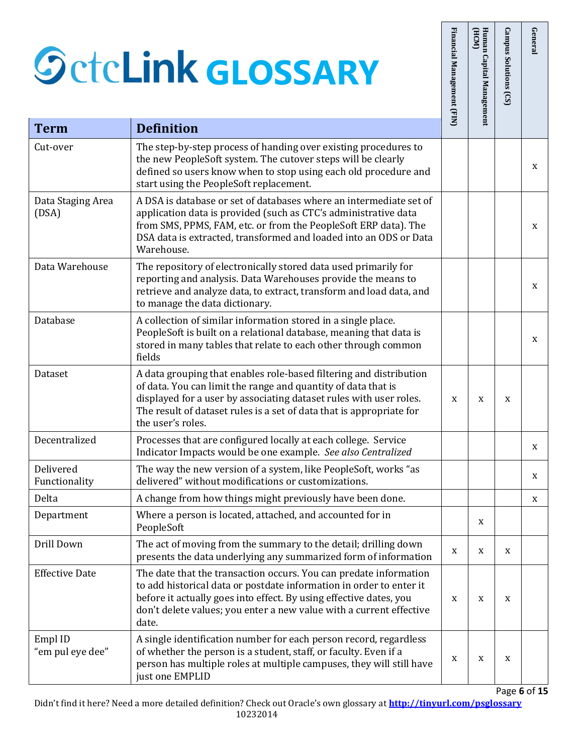|                             | <b>SctcLink GLOSSARY</b>                                                                                                                                                                                                                                                                               | Financial Management (FIN) | Human<br>(HCM)<br>Capital Management | Campus Solutions (CS) | General |
|-----------------------------|--------------------------------------------------------------------------------------------------------------------------------------------------------------------------------------------------------------------------------------------------------------------------------------------------------|----------------------------|--------------------------------------|-----------------------|---------|
| <b>Term</b>                 | <b>Definition</b>                                                                                                                                                                                                                                                                                      |                            |                                      |                       |         |
| Cut-over                    | The step-by-step process of handing over existing procedures to<br>the new PeopleSoft system. The cutover steps will be clearly<br>defined so users know when to stop using each old procedure and<br>start using the PeopleSoft replacement.                                                          |                            |                                      |                       | X       |
| Data Staging Area<br>(DSA)  | A DSA is database or set of databases where an intermediate set of<br>application data is provided (such as CTC's administrative data<br>from SMS, PPMS, FAM, etc. or from the PeopleSoft ERP data). The<br>DSA data is extracted, transformed and loaded into an ODS or Data<br>Warehouse.            |                            |                                      |                       | X       |
| Data Warehouse              | The repository of electronically stored data used primarily for<br>reporting and analysis. Data Warehouses provide the means to<br>retrieve and analyze data, to extract, transform and load data, and<br>to manage the data dictionary.                                                               |                            |                                      |                       | X       |
| Database                    | A collection of similar information stored in a single place.<br>PeopleSoft is built on a relational database, meaning that data is<br>stored in many tables that relate to each other through common<br>fields                                                                                        |                            |                                      |                       | X       |
| Dataset                     | A data grouping that enables role-based filtering and distribution<br>of data. You can limit the range and quantity of data that is<br>displayed for a user by associating dataset rules with user roles.<br>The result of dataset rules is a set of data that is appropriate for<br>the user's roles. | X                          | X                                    | X                     |         |
| Decentralized               | Processes that are configured locally at each college. Service<br>Indicator Impacts would be one example. See also Centralized                                                                                                                                                                         |                            |                                      |                       | X       |
| Delivered<br>Functionality  | The way the new version of a system, like PeopleSoft, works "as<br>delivered" without modifications or customizations.                                                                                                                                                                                 |                            |                                      |                       | X       |
| Delta                       | A change from how things might previously have been done.                                                                                                                                                                                                                                              |                            |                                      |                       | X       |
| Department                  | Where a person is located, attached, and accounted for in<br>PeopleSoft                                                                                                                                                                                                                                |                            | X                                    |                       |         |
| Drill Down                  | The act of moving from the summary to the detail; drilling down<br>presents the data underlying any summarized form of information                                                                                                                                                                     | X                          | X                                    | X                     |         |
| <b>Effective Date</b>       | The date that the transaction occurs. You can predate information<br>to add historical data or postdate information in order to enter it<br>before it actually goes into effect. By using effective dates, you<br>don't delete values; you enter a new value with a current effective<br>date.         | X                          | X                                    | X                     |         |
| Empl ID<br>"em pul eye dee" | A single identification number for each person record, regardless<br>of whether the person is a student, staff, or faculty. Even if a<br>person has multiple roles at multiple campuses, they will still have<br>just one EMPLID                                                                       | X                          | X                                    | $\mathbf X$           |         |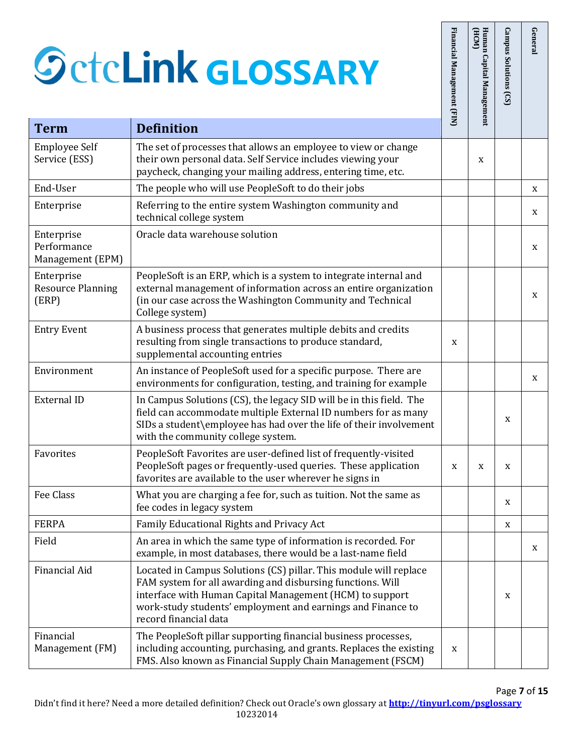## $\mathcal{S}_0$ **GLOSSARY**

| <b>Term</b>                                     | <b>SctcLink GLOSSARY</b><br><b>Definition</b>                                                                                                                                                                                                                                       | Financial Management (FIN) | (HCM)<br>Human Capital Management | Campus Solutions (CS) | Genera |
|-------------------------------------------------|-------------------------------------------------------------------------------------------------------------------------------------------------------------------------------------------------------------------------------------------------------------------------------------|----------------------------|-----------------------------------|-----------------------|--------|
|                                                 |                                                                                                                                                                                                                                                                                     |                            |                                   |                       |        |
| <b>Employee Self</b><br>Service (ESS)           | The set of processes that allows an employee to view or change<br>their own personal data. Self Service includes viewing your<br>paycheck, changing your mailing address, entering time, etc.                                                                                       |                            | X                                 |                       |        |
| End-User                                        | The people who will use PeopleSoft to do their jobs                                                                                                                                                                                                                                 |                            |                                   |                       | X      |
| Enterprise                                      | Referring to the entire system Washington community and<br>technical college system                                                                                                                                                                                                 |                            |                                   |                       | X      |
| Enterprise<br>Performance<br>Management (EPM)   | Oracle data warehouse solution                                                                                                                                                                                                                                                      |                            |                                   |                       | X      |
| Enterprise<br><b>Resource Planning</b><br>(ERP) | PeopleSoft is an ERP, which is a system to integrate internal and<br>external management of information across an entire organization<br>(in our case across the Washington Community and Technical<br>College system)                                                              |                            |                                   |                       | X      |
| <b>Entry Event</b>                              | A business process that generates multiple debits and credits<br>resulting from single transactions to produce standard,<br>supplemental accounting entries                                                                                                                         | X                          |                                   |                       |        |
| Environment                                     | An instance of PeopleSoft used for a specific purpose. There are<br>environments for configuration, testing, and training for example                                                                                                                                               |                            |                                   |                       | X      |
| <b>External ID</b>                              | In Campus Solutions (CS), the legacy SID will be in this field. The<br>field can accommodate multiple External ID numbers for as many<br>SIDs a student\employee has had over the life of their involvement<br>with the community college system.                                   |                            |                                   | X                     |        |
| Favorites                                       | PeopleSoft Favorites are user-defined list of frequently-visited<br>PeopleSoft pages or frequently-used queries. These application<br>favorites are available to the user wherever he signs in                                                                                      | X                          | X                                 | X                     |        |
| Fee Class                                       | What you are charging a fee for, such as tuition. Not the same as<br>fee codes in legacy system                                                                                                                                                                                     |                            |                                   | X                     |        |
| <b>FERPA</b>                                    | Family Educational Rights and Privacy Act                                                                                                                                                                                                                                           |                            |                                   | $\mathbf X$           |        |
| Field                                           | An area in which the same type of information is recorded. For<br>example, in most databases, there would be a last-name field                                                                                                                                                      |                            |                                   |                       | X      |
| Financial Aid                                   | Located in Campus Solutions (CS) pillar. This module will replace<br>FAM system for all awarding and disbursing functions. Will<br>interface with Human Capital Management (HCM) to support<br>work-study students' employment and earnings and Finance to<br>record financial data |                            |                                   | X                     |        |
| Financial<br>Management (FM)                    | The PeopleSoft pillar supporting financial business processes,<br>including accounting, purchasing, and grants. Replaces the existing<br>FMS. Also known as Financial Supply Chain Management (FSCM)                                                                                | X                          |                                   |                       |        |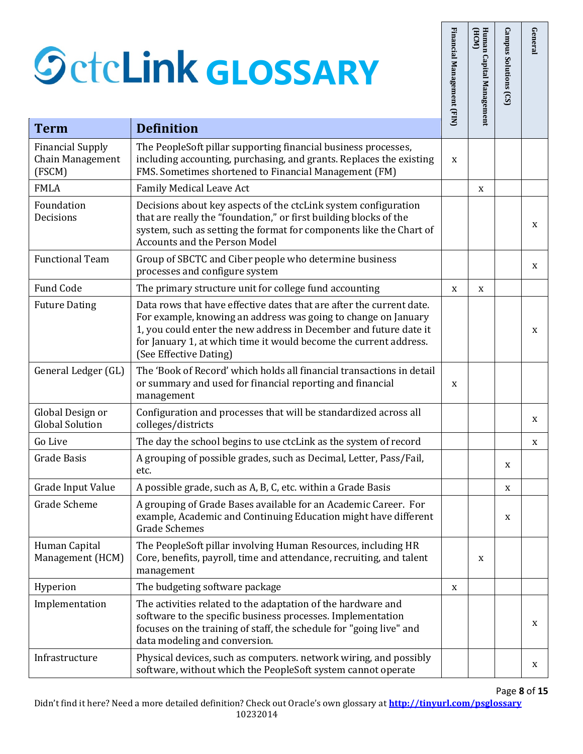|                                                       | <b>SctcLink GLOSSARY</b>                                                                                                                                                                                                                                                                                   | Financial Management (FIN) | Human Capital Management<br>(HCM) | Campus Solutions (CS) | General |
|-------------------------------------------------------|------------------------------------------------------------------------------------------------------------------------------------------------------------------------------------------------------------------------------------------------------------------------------------------------------------|----------------------------|-----------------------------------|-----------------------|---------|
| <b>Term</b>                                           | <b>Definition</b>                                                                                                                                                                                                                                                                                          |                            |                                   |                       |         |
| <b>Financial Supply</b><br>Chain Management<br>(FSCM) | The PeopleSoft pillar supporting financial business processes,<br>including accounting, purchasing, and grants. Replaces the existing<br>FMS. Sometimes shortened to Financial Management (FM)                                                                                                             | X                          |                                   |                       |         |
| <b>FMLA</b>                                           | <b>Family Medical Leave Act</b>                                                                                                                                                                                                                                                                            |                            | X                                 |                       |         |
| Foundation<br>Decisions                               | Decisions about key aspects of the ctcLink system configuration<br>that are really the "foundation," or first building blocks of the<br>system, such as setting the format for components like the Chart of<br><b>Accounts and the Person Model</b>                                                        |                            |                                   |                       | X       |
| <b>Functional Team</b>                                | Group of SBCTC and Ciber people who determine business<br>processes and configure system                                                                                                                                                                                                                   |                            |                                   |                       | X       |
| Fund Code                                             | The primary structure unit for college fund accounting                                                                                                                                                                                                                                                     | X                          | X                                 |                       |         |
| <b>Future Dating</b>                                  | Data rows that have effective dates that are after the current date.<br>For example, knowing an address was going to change on January<br>1, you could enter the new address in December and future date it<br>for January 1, at which time it would become the current address.<br>(See Effective Dating) |                            |                                   |                       | X       |
| General Ledger (GL)                                   | The 'Book of Record' which holds all financial transactions in detail<br>or summary and used for financial reporting and financial<br>management                                                                                                                                                           | X                          |                                   |                       |         |
| Global Design or<br><b>Global Solution</b>            | Configuration and processes that will be standardized across all<br>colleges/districts                                                                                                                                                                                                                     |                            |                                   |                       | X       |
| Go Live                                               | The day the school begins to use ctcLink as the system of record                                                                                                                                                                                                                                           |                            |                                   |                       | X       |
| <b>Grade Basis</b>                                    | A grouping of possible grades, such as Decimal, Letter, Pass/Fail,<br>etc.                                                                                                                                                                                                                                 |                            |                                   | X                     |         |
| Grade Input Value                                     | A possible grade, such as A, B, C, etc. within a Grade Basis                                                                                                                                                                                                                                               |                            |                                   | X                     |         |
| Grade Scheme                                          | A grouping of Grade Bases available for an Academic Career. For<br>example, Academic and Continuing Education might have different<br><b>Grade Schemes</b>                                                                                                                                                 |                            |                                   | X                     |         |
| Human Capital<br>Management (HCM)                     | The PeopleSoft pillar involving Human Resources, including HR<br>Core, benefits, payroll, time and attendance, recruiting, and talent<br>management                                                                                                                                                        |                            | X                                 |                       |         |
| Hyperion                                              | The budgeting software package                                                                                                                                                                                                                                                                             | X                          |                                   |                       |         |
| Implementation                                        | The activities related to the adaptation of the hardware and<br>software to the specific business processes. Implementation<br>focuses on the training of staff, the schedule for "going live" and<br>data modeling and conversion.                                                                        |                            |                                   |                       | X       |
| Infrastructure                                        | Physical devices, such as computers. network wiring, and possibly<br>software, without which the PeopleSoft system cannot operate                                                                                                                                                                          |                            |                                   |                       | X       |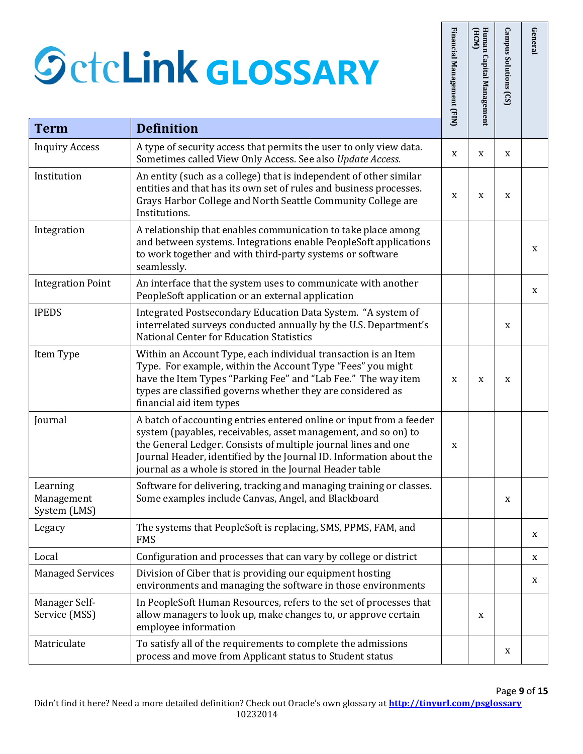|                                        | <b>SctcLink GLOSSARY</b>                                                                                                                                                                                                                                                                                                                   | Financial Management (FIN) | Human Capital Management<br>HCM | Campus Solutions (CS) | General |
|----------------------------------------|--------------------------------------------------------------------------------------------------------------------------------------------------------------------------------------------------------------------------------------------------------------------------------------------------------------------------------------------|----------------------------|---------------------------------|-----------------------|---------|
| <b>Term</b>                            | <b>Definition</b>                                                                                                                                                                                                                                                                                                                          |                            |                                 |                       |         |
| <b>Inquiry Access</b>                  | A type of security access that permits the user to only view data.<br>Sometimes called View Only Access. See also Update Access.                                                                                                                                                                                                           | X                          | X                               | X                     |         |
| Institution                            | An entity (such as a college) that is independent of other similar<br>entities and that has its own set of rules and business processes.<br>Grays Harbor College and North Seattle Community College are<br>Institutions.                                                                                                                  | X                          | X                               | X                     |         |
| Integration                            | A relationship that enables communication to take place among<br>and between systems. Integrations enable PeopleSoft applications<br>to work together and with third-party systems or software<br>seamlessly.                                                                                                                              |                            |                                 |                       | X       |
| <b>Integration Point</b>               | An interface that the system uses to communicate with another<br>PeopleSoft application or an external application                                                                                                                                                                                                                         |                            |                                 |                       | X       |
| <b>IPEDS</b>                           | Integrated Postsecondary Education Data System. "A system of<br>interrelated surveys conducted annually by the U.S. Department's<br><b>National Center for Education Statistics</b>                                                                                                                                                        |                            |                                 | X                     |         |
| Item Type                              | Within an Account Type, each individual transaction is an Item<br>Type. For example, within the Account Type "Fees" you might<br>have the Item Types "Parking Fee" and "Lab Fee." The way item<br>types are classified governs whether they are considered as<br>financial aid item types                                                  | X                          | X                               | X                     |         |
| Journal                                | A batch of accounting entries entered online or input from a feeder<br>system (payables, receivables, asset management, and so on) to<br>the General Ledger. Consists of multiple journal lines and one<br>Journal Header, identified by the Journal ID. Information about the<br>journal as a whole is stored in the Journal Header table | X                          |                                 |                       |         |
| Learning<br>Management<br>System (LMS) | Software for delivering, tracking and managing training or classes.<br>Some examples include Canvas, Angel, and Blackboard                                                                                                                                                                                                                 |                            |                                 | X                     |         |
| Legacy                                 | The systems that PeopleSoft is replacing, SMS, PPMS, FAM, and<br><b>FMS</b>                                                                                                                                                                                                                                                                |                            |                                 |                       | X       |
| Local                                  | Configuration and processes that can vary by college or district                                                                                                                                                                                                                                                                           |                            |                                 |                       | X       |
| <b>Managed Services</b>                | Division of Ciber that is providing our equipment hosting<br>environments and managing the software in those environments                                                                                                                                                                                                                  |                            |                                 |                       | X       |
| Manager Self-<br>Service (MSS)         | In PeopleSoft Human Resources, refers to the set of processes that<br>allow managers to look up, make changes to, or approve certain<br>employee information                                                                                                                                                                               |                            | X                               |                       |         |
| Matriculate                            | To satisfy all of the requirements to complete the admissions<br>process and move from Applicant status to Student status                                                                                                                                                                                                                  |                            |                                 | X                     |         |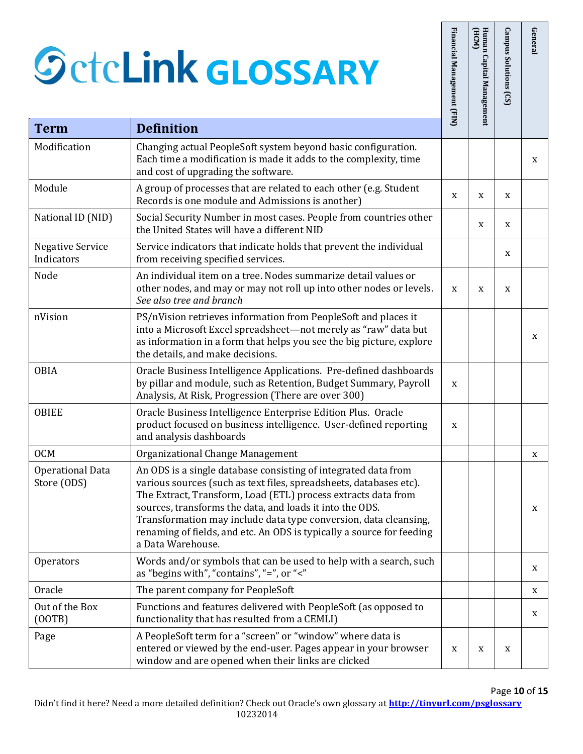(OOTB)

|                                       | <b>SctcLink GLOSSARY</b>                                                                                                                                                                                                                                                                                                                                                                                                            | Financial Management (FIN) | HCM<br>Human Capital Management | <b>Campus Solutions</b><br>(S) | General |
|---------------------------------------|-------------------------------------------------------------------------------------------------------------------------------------------------------------------------------------------------------------------------------------------------------------------------------------------------------------------------------------------------------------------------------------------------------------------------------------|----------------------------|---------------------------------|--------------------------------|---------|
| <b>Term</b>                           | <b>Definition</b>                                                                                                                                                                                                                                                                                                                                                                                                                   |                            |                                 |                                |         |
| Modification                          | Changing actual PeopleSoft system beyond basic configuration.<br>Each time a modification is made it adds to the complexity, time<br>and cost of upgrading the software.                                                                                                                                                                                                                                                            |                            |                                 |                                | X       |
| Module                                | A group of processes that are related to each other (e.g. Student<br>Records is one module and Admissions is another)                                                                                                                                                                                                                                                                                                               | X                          | X                               | X                              |         |
| National ID (NID)                     | Social Security Number in most cases. People from countries other<br>the United States will have a different NID                                                                                                                                                                                                                                                                                                                    |                            | X                               | X                              |         |
| <b>Negative Service</b><br>Indicators | Service indicators that indicate holds that prevent the individual<br>from receiving specified services.                                                                                                                                                                                                                                                                                                                            |                            |                                 | X                              |         |
| Node                                  | An individual item on a tree. Nodes summarize detail values or<br>other nodes, and may or may not roll up into other nodes or levels.<br>See also tree and branch                                                                                                                                                                                                                                                                   | X                          | X                               | X                              |         |
| nVision                               | PS/nVision retrieves information from PeopleSoft and places it<br>into a Microsoft Excel spreadsheet-not merely as "raw" data but<br>as information in a form that helps you see the big picture, explore<br>the details, and make decisions.                                                                                                                                                                                       |                            |                                 |                                | X       |
| <b>OBIA</b>                           | Oracle Business Intelligence Applications. Pre-defined dashboards<br>by pillar and module, such as Retention, Budget Summary, Payroll<br>Analysis, At Risk, Progression (There are over 300)                                                                                                                                                                                                                                        | X                          |                                 |                                |         |
| <b>OBIEE</b>                          | Oracle Business Intelligence Enterprise Edition Plus. Oracle<br>product focused on business intelligence. User-defined reporting<br>and analysis dashboards                                                                                                                                                                                                                                                                         | X                          |                                 |                                |         |
| <b>OCM</b>                            | Organizational Change Management                                                                                                                                                                                                                                                                                                                                                                                                    |                            |                                 |                                | X       |
| Operational Data<br>Store (ODS)       | An ODS is a single database consisting of integrated data from<br>various sources (such as text files, spreadsheets, databases etc).<br>The Extract, Transform, Load (ETL) process extracts data from<br>sources, transforms the data, and loads it into the ODS.<br>Transformation may include data type conversion, data cleansing,<br>renaming of fields, and etc. An ODS is typically a source for feeding<br>a Data Warehouse. |                            |                                 |                                | X       |
| <b>Operators</b>                      | Words and/or symbols that can be used to help with a search, such<br>as "begins with", "contains", "=", or "<"                                                                                                                                                                                                                                                                                                                      |                            |                                 |                                | X       |
| Oracle                                | The parent company for PeopleSoft                                                                                                                                                                                                                                                                                                                                                                                                   |                            |                                 |                                | X       |
| Out of the Box<br>(00TB)              | Functions and features delivered with PeopleSoft (as opposed to<br>functionality that has resulted from a CEMLI)                                                                                                                                                                                                                                                                                                                    |                            |                                 |                                | X       |
| Page                                  | A PeopleSoft term for a "screen" or "window" where data is<br>entered or viewed by the end-user. Pages appear in your browser<br>window and are opened when their links are clicked                                                                                                                                                                                                                                                 | X                          | X                               | X                              |         |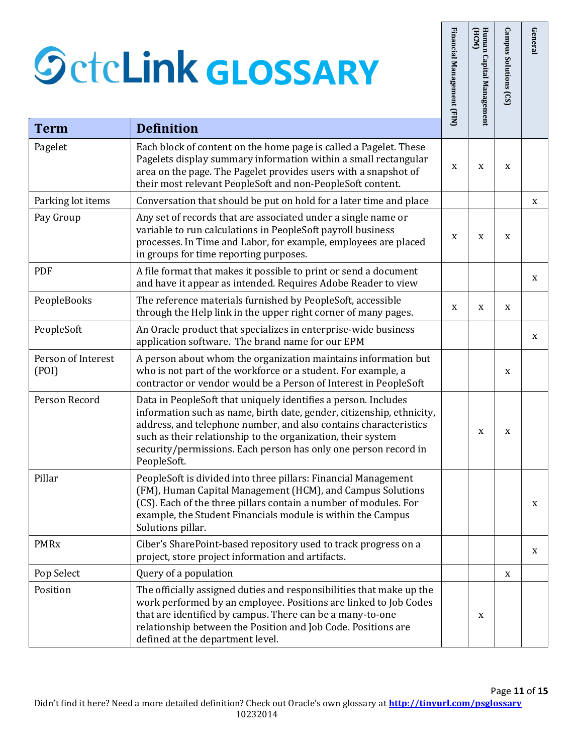**Term** 

Pay Group

(POI)

|                             | <b>SctcLink GLOSSARY</b>                                                                                                                                                                                                                                                                                                                                      | Financial Management (FIN) | Human Capital Management<br>HCM | <b>Campus Solutions</b><br>(S) | General |
|-----------------------------|---------------------------------------------------------------------------------------------------------------------------------------------------------------------------------------------------------------------------------------------------------------------------------------------------------------------------------------------------------------|----------------------------|---------------------------------|--------------------------------|---------|
| <b>Term</b>                 | <b>Definition</b>                                                                                                                                                                                                                                                                                                                                             |                            |                                 |                                |         |
| Pagelet                     | Each block of content on the home page is called a Pagelet. These<br>Pagelets display summary information within a small rectangular<br>area on the page. The Pagelet provides users with a snapshot of<br>their most relevant PeopleSoft and non-PeopleSoft content.                                                                                         | X                          | X                               | X                              |         |
| Parking lot items           | Conversation that should be put on hold for a later time and place                                                                                                                                                                                                                                                                                            |                            |                                 |                                | X       |
| Pay Group                   | Any set of records that are associated under a single name or<br>variable to run calculations in PeopleSoft payroll business<br>processes. In Time and Labor, for example, employees are placed<br>in groups for time reporting purposes.                                                                                                                     | X                          | X                               | X                              |         |
| PDF                         | A file format that makes it possible to print or send a document<br>and have it appear as intended. Requires Adobe Reader to view                                                                                                                                                                                                                             |                            |                                 |                                | X       |
| PeopleBooks                 | The reference materials furnished by PeopleSoft, accessible<br>through the Help link in the upper right corner of many pages.                                                                                                                                                                                                                                 | X                          | X                               | X                              |         |
| PeopleSoft                  | An Oracle product that specializes in enterprise-wide business<br>application software. The brand name for our EPM                                                                                                                                                                                                                                            |                            |                                 |                                | X       |
| Person of Interest<br>(POI) | A person about whom the organization maintains information but<br>who is not part of the workforce or a student. For example, a<br>contractor or vendor would be a Person of Interest in PeopleSoft                                                                                                                                                           |                            |                                 | X                              |         |
| Person Record               | Data in PeopleSoft that uniquely identifies a person. Includes<br>information such as name, birth date, gender, citizenship, ethnicity,<br>address, and telephone number, and also contains characteristics<br>such as their relationship to the organization, their system<br>security/permissions. Each person has only one person record in<br>PeopleSoft. |                            | X                               | X                              |         |
| Pillar                      | PeopleSoft is divided into three pillars: Financial Management<br>(FM), Human Capital Management (HCM), and Campus Solutions<br>(CS). Each of the three pillars contain a number of modules. For<br>example, the Student Financials module is within the Campus<br>Solutions pillar.                                                                          |                            |                                 |                                | X       |
| <b>PMRx</b>                 | Ciber's SharePoint-based repository used to track progress on a<br>project, store project information and artifacts.                                                                                                                                                                                                                                          |                            |                                 |                                | X       |
| Pop Select                  | Query of a population                                                                                                                                                                                                                                                                                                                                         |                            |                                 | X                              |         |
| Position                    | The officially assigned duties and responsibilities that make up the<br>work performed by an employee. Positions are linked to Job Codes<br>that are identified by campus. There can be a many-to-one<br>relationship between the Position and Job Code. Positions are<br>defined at the department level.                                                    |                            | X                               |                                |         |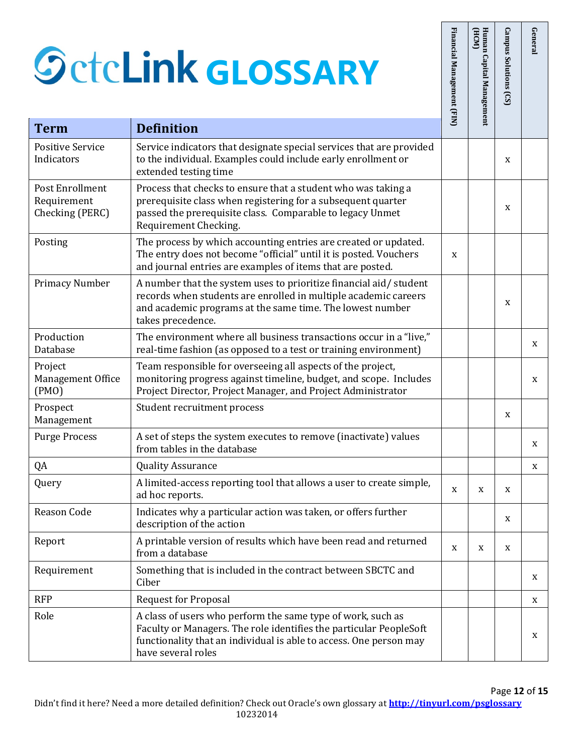|                                                   | <b>SctcLink GLOSSARY</b>                                                                                                                                                                                                      | Financial Management (FIN) | Human Capital Management<br>(HCM) | Campus Solutions (CS) | General |
|---------------------------------------------------|-------------------------------------------------------------------------------------------------------------------------------------------------------------------------------------------------------------------------------|----------------------------|-----------------------------------|-----------------------|---------|
| <b>Term</b>                                       | <b>Definition</b>                                                                                                                                                                                                             |                            |                                   |                       |         |
| <b>Positive Service</b><br>Indicators             | Service indicators that designate special services that are provided<br>to the individual. Examples could include early enrollment or<br>extended testing time                                                                |                            |                                   | X                     |         |
| Post Enrollment<br>Requirement<br>Checking (PERC) | Process that checks to ensure that a student who was taking a<br>prerequisite class when registering for a subsequent quarter<br>passed the prerequisite class. Comparable to legacy Unmet<br>Requirement Checking.           |                            |                                   | X                     |         |
| Posting                                           | The process by which accounting entries are created or updated.<br>The entry does not become "official" until it is posted. Vouchers<br>and journal entries are examples of items that are posted.                            | X                          |                                   |                       |         |
| <b>Primacy Number</b>                             | A number that the system uses to prioritize financial aid/student<br>records when students are enrolled in multiple academic careers<br>and academic programs at the same time. The lowest number<br>takes precedence.        |                            |                                   | X                     |         |
| Production<br>Database                            | The environment where all business transactions occur in a "live,"<br>real-time fashion (as opposed to a test or training environment)                                                                                        |                            |                                   |                       | X       |
| Project<br>Management Office<br>(PMO)             | Team responsible for overseeing all aspects of the project,<br>monitoring progress against timeline, budget, and scope. Includes<br>Project Director, Project Manager, and Project Administrator                              |                            |                                   |                       | X       |
| Prospect<br>Management                            | Student recruitment process                                                                                                                                                                                                   |                            |                                   | X                     |         |
| <b>Purge Process</b>                              | A set of steps the system executes to remove (inactivate) values<br>from tables in the database                                                                                                                               |                            |                                   |                       | X       |
| QA                                                | <b>Quality Assurance</b>                                                                                                                                                                                                      |                            |                                   |                       | X       |
| Query                                             | A limited-access reporting tool that allows a user to create simple,<br>ad hoc reports.                                                                                                                                       | X                          | X                                 | X                     |         |
| Reason Code                                       | Indicates why a particular action was taken, or offers further<br>description of the action                                                                                                                                   |                            |                                   | X                     |         |
| Report                                            | A printable version of results which have been read and returned<br>from a database                                                                                                                                           | X                          | X                                 | X                     |         |
| Requirement                                       | Something that is included in the contract between SBCTC and<br>Ciber                                                                                                                                                         |                            |                                   |                       | X       |
| <b>RFP</b>                                        | <b>Request for Proposal</b>                                                                                                                                                                                                   |                            |                                   |                       | X       |
| Role                                              | A class of users who perform the same type of work, such as<br>Faculty or Managers. The role identifies the particular PeopleSoft<br>functionality that an individual is able to access. One person may<br>have several roles |                            |                                   |                       | X       |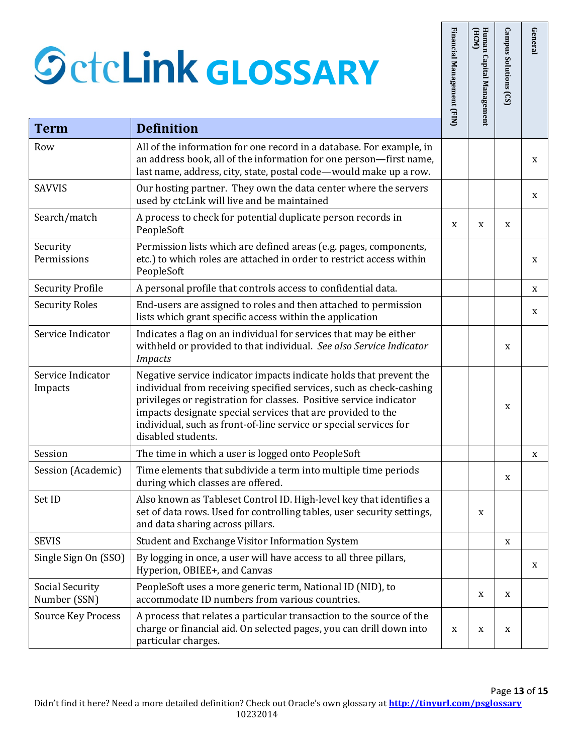|                                 | <b>SctcLink GLOSSARY</b>                                                                                                                                                                                                                                                                                                                                                  | Financial Management (FIN) | Human Capital Management<br>(HCM) | Campus Solutions (CS) | General |
|---------------------------------|---------------------------------------------------------------------------------------------------------------------------------------------------------------------------------------------------------------------------------------------------------------------------------------------------------------------------------------------------------------------------|----------------------------|-----------------------------------|-----------------------|---------|
| <b>Term</b>                     | <b>Definition</b>                                                                                                                                                                                                                                                                                                                                                         |                            |                                   |                       |         |
| Row                             | All of the information for one record in a database. For example, in<br>an address book, all of the information for one person-first name,<br>last name, address, city, state, postal code-would make up a row.                                                                                                                                                           |                            |                                   |                       | X       |
| <b>SAVVIS</b>                   | Our hosting partner. They own the data center where the servers<br>used by ctcLink will live and be maintained                                                                                                                                                                                                                                                            |                            |                                   |                       | X       |
| Search/match                    | A process to check for potential duplicate person records in<br>PeopleSoft                                                                                                                                                                                                                                                                                                | X                          | X                                 | X                     |         |
| Security<br>Permissions         | Permission lists which are defined areas (e.g. pages, components,<br>etc.) to which roles are attached in order to restrict access within<br>PeopleSoft                                                                                                                                                                                                                   |                            |                                   |                       | X       |
| <b>Security Profile</b>         | A personal profile that controls access to confidential data.                                                                                                                                                                                                                                                                                                             |                            |                                   |                       | X       |
| <b>Security Roles</b>           | End-users are assigned to roles and then attached to permission<br>lists which grant specific access within the application                                                                                                                                                                                                                                               |                            |                                   |                       | X       |
| Service Indicator               | Indicates a flag on an individual for services that may be either<br>withheld or provided to that individual. See also Service Indicator<br><b>Impacts</b>                                                                                                                                                                                                                |                            |                                   | X                     |         |
| Service Indicator<br>Impacts    | Negative service indicator impacts indicate holds that prevent the<br>individual from receiving specified services, such as check-cashing<br>privileges or registration for classes. Positive service indicator<br>impacts designate special services that are provided to the<br>individual, such as front-of-line service or special services for<br>disabled students. |                            |                                   | X                     |         |
| Session                         | The time in which a user is logged onto PeopleSoft                                                                                                                                                                                                                                                                                                                        |                            |                                   |                       | X       |
| Session (Academic)              | Time elements that subdivide a term into multiple time periods<br>during which classes are offered.                                                                                                                                                                                                                                                                       |                            |                                   | X                     |         |
| Set ID                          | Also known as Tableset Control ID. High-level key that identifies a<br>set of data rows. Used for controlling tables, user security settings,<br>and data sharing across pillars.                                                                                                                                                                                         |                            | X                                 |                       |         |
| <b>SEVIS</b>                    | Student and Exchange Visitor Information System                                                                                                                                                                                                                                                                                                                           |                            |                                   | X                     |         |
| Single Sign On (SSO)            | By logging in once, a user will have access to all three pillars,<br>Hyperion, OBIEE+, and Canvas                                                                                                                                                                                                                                                                         |                            |                                   |                       | X       |
| Social Security<br>Number (SSN) | PeopleSoft uses a more generic term, National ID (NID), to<br>accommodate ID numbers from various countries.                                                                                                                                                                                                                                                              |                            | X                                 | X                     |         |
| <b>Source Key Process</b>       | A process that relates a particular transaction to the source of the<br>charge or financial aid. On selected pages, you can drill down into<br>particular charges.                                                                                                                                                                                                        | X                          | X                                 | X                     |         |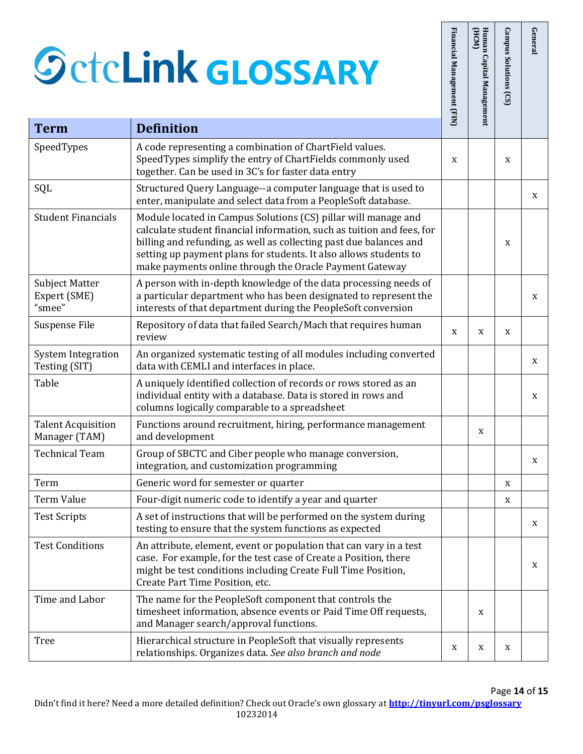|                                                 | <b>SctcLink GLOSSARY</b>                                                                                                                                                                                                                                                                                                                       | Financial Management (FIN) | Human Capital Management<br>(HCM) | Campus Solutions<br>(S) | Genera |
|-------------------------------------------------|------------------------------------------------------------------------------------------------------------------------------------------------------------------------------------------------------------------------------------------------------------------------------------------------------------------------------------------------|----------------------------|-----------------------------------|-------------------------|--------|
| <b>Term</b>                                     | <b>Definition</b>                                                                                                                                                                                                                                                                                                                              |                            |                                   |                         |        |
| SpeedTypes                                      | A code representing a combination of ChartField values.<br>SpeedTypes simplify the entry of ChartFields commonly used<br>together. Can be used in 3C's for faster data entry                                                                                                                                                                   | X                          |                                   | X                       |        |
| SQL                                             | Structured Query Language--a computer language that is used to<br>enter, manipulate and select data from a PeopleSoft database.                                                                                                                                                                                                                |                            |                                   |                         | X      |
| <b>Student Financials</b>                       | Module located in Campus Solutions (CS) pillar will manage and<br>calculate student financial information, such as tuition and fees, for<br>billing and refunding, as well as collecting past due balances and<br>setting up payment plans for students. It also allows students to<br>make payments online through the Oracle Payment Gateway |                            |                                   | X                       |        |
| <b>Subject Matter</b><br>Expert (SME)<br>"smee" | A person with in-depth knowledge of the data processing needs of<br>a particular department who has been designated to represent the<br>interests of that department during the PeopleSoft conversion                                                                                                                                          |                            |                                   |                         | X      |
| Suspense File                                   | Repository of data that failed Search/Mach that requires human<br>review                                                                                                                                                                                                                                                                       | X                          | X                                 | X                       |        |
| <b>System Integration</b><br>Testing (SIT)      | An organized systematic testing of all modules including converted<br>data with CEMLI and interfaces in place.                                                                                                                                                                                                                                 |                            |                                   |                         | X      |
| Table                                           | A uniquely identified collection of records or rows stored as an<br>individual entity with a database. Data is stored in rows and<br>columns logically comparable to a spreadsheet                                                                                                                                                             |                            |                                   |                         | X      |
| <b>Talent Acquisition</b><br>Manager (TAM)      | Functions around recruitment, hiring, performance management<br>and development                                                                                                                                                                                                                                                                |                            | X                                 |                         |        |
| <b>Technical Team</b>                           | Group of SBCTC and Ciber people who manage conversion,<br>integration, and customization programming                                                                                                                                                                                                                                           |                            |                                   |                         | X      |
| Term                                            | Generic word for semester or quarter                                                                                                                                                                                                                                                                                                           |                            |                                   | X                       |        |
| <b>Term Value</b>                               | Four-digit numeric code to identify a year and quarter                                                                                                                                                                                                                                                                                         |                            |                                   | X                       |        |
| <b>Test Scripts</b>                             | A set of instructions that will be performed on the system during<br>testing to ensure that the system functions as expected                                                                                                                                                                                                                   |                            |                                   |                         | X      |
| <b>Test Conditions</b>                          | An attribute, element, event or population that can vary in a test<br>case. For example, for the test case of Create a Position, there<br>might be test conditions including Create Full Time Position,<br>Create Part Time Position, etc.                                                                                                     |                            |                                   |                         | X      |
| Time and Labor                                  | The name for the PeopleSoft component that controls the<br>timesheet information, absence events or Paid Time Off requests,<br>and Manager search/approval functions.                                                                                                                                                                          |                            | X                                 |                         |        |
| <b>Tree</b>                                     | Hierarchical structure in PeopleSoft that visually represents<br>relationships. Organizes data. See also branch and node                                                                                                                                                                                                                       | X                          | X                                 | X                       |        |